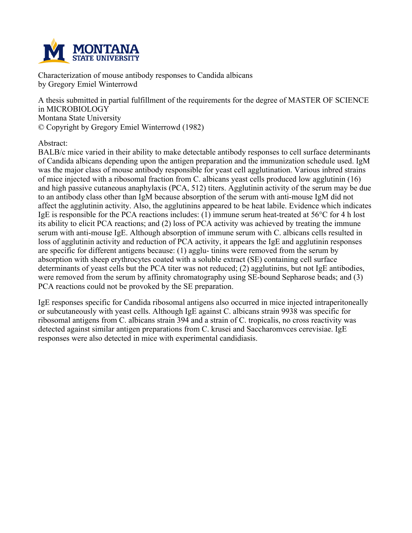

**Characterization of mouse antibody responses to Candida albicans by Gregory Emiel Winterrowd**

**A thesis submitted in partial fulfillment of the requirements for the degree of MASTER OF SCIENCE in MICROBIOLOGY Montana State University © Copyright by Gregory Emiel Winterrowd (1982)**

**Abstract:**

**BALB/c mice varied in their ability to make detectable antibody responses to cell surface determinants of Candida albicans depending upon the antigen preparation and the immunization schedule used. IgM was the major class of mouse antibody responsible for yeast cell agglutination. Various inbred strains of mice injected with a ribosomal fraction from C. albicans yeast cells produced low agglutinin (16) and high passive cutaneous anaphylaxis (PCA, 512) titers. Agglutinin activity of the serum may be due to an antibody class other than IgM because absorption of the serum with anti-mouse IgM did not affect the agglutinin activity. Also, the agglutinins appeared to be heat labile. Evidence which indicates** IgE is responsible for the PCA reactions includes: (1) immune serum heat-treated at  $56^{\circ}$ C for 4 h lost its ability to elicit PCA reactions; and (2) loss of PCA activity was achieved by treating the immune **serum with anti-mouse IgE. Although absorption of immune serum with C. albicans cells resulted in loss of agglutinin activity and reduction of PCA activity, it appears the IgE and agglutinin responses are specific for different antigens because: (1) agglu- tinins were removed from the serum by absorption with sheep erythrocytes coated with a soluble extract (SE) containing cell surface determinants of yeast cells but the PCA titer was not reduced; (2) agglutinins, but not IgE antibodies, were removed from the serum by affinity chromatography using SE-bound Sepharose beads; and (3) PCA reactions could not be provoked by the SE preparation.**

**IgE responses specific for Candida ribosomal antigens also occurred in mice injected intraperitoneally or subcutaneously with yeast cells. Although IgE against C. albicans strain 9938 was specific for ribosomal antigens from C. albicans strain 394 and a strain of C. tropicalis, no cross reactivity was detected against similar antigen preparations from C. krusei and Saccharomvces cerevisiae. IgE responses were also detected in mice with experimental candidiasis.**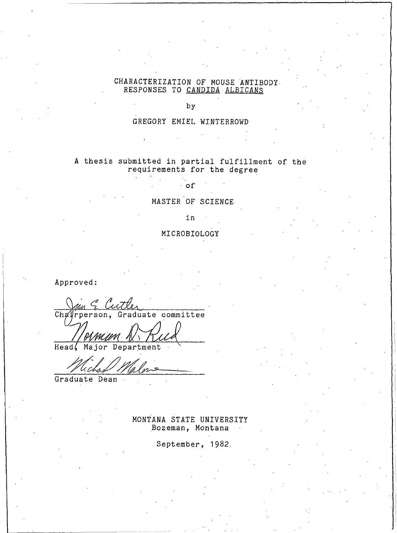# CHARACTERIZATION OF MOUSE ANTIBODY<br>RESPONSES TO CANDIDA ALBICANS

by

## GREGORY EMIEL WINTERROWD

# A thesis submitted in partial fulfillment of the requirements for the degree

 $^{\circ}$  of

# MASTER OF SCIENCE

#### in

# MICROBIOLOGY

Approved:

Chairperson, Graduate committee

Head, Major Department

Graduate Dean

MONTANA STATE UNIVERSITY Bozeman, Montana

September, 1982.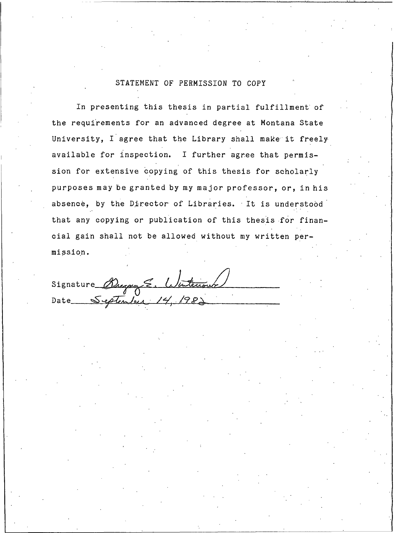# STATEMENT OF PERMISSION TO COPY

In presenting this thesis in partial fulfillment of the requirements for an advanced degree at Montana State University, I agree that the Library shall make it freely available for inspection. I further agree that permission for extensive copying of this thesis for scholarly purposes may be granted by my major professor, or, in his absence, by the Director of Libraries. It is understood that any copying or publication of this thesis for financial gain shall not be allowed without my written permission.

Signature Dregory E. Wintenour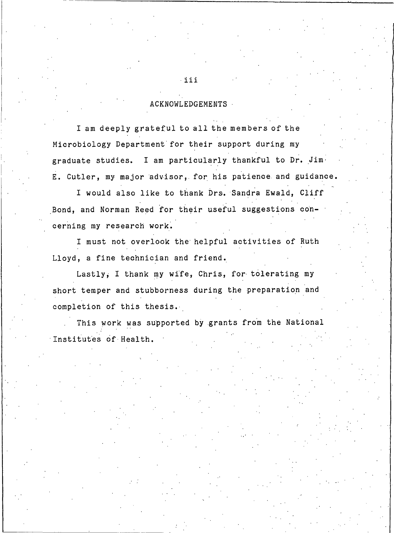### **ACKNOWLEDGEMENTS**

I am deeply grateful to all the members of the Microbiology Department for their support during my graduate studies. I am particularly thankful to Dr. Jim. E. Cutler, my major advisor, for his patience and guidance.

I would also like to thank Drs. Sandra Ewald, Cliff Bond, and Norman Reed for their useful suggestions concerning my research work.

I must not overlook the helpful activities of Ruth Lloyd, a fine technician and friend.

Lastly, I thank my wife, Chris, for tolerating my short temper and stubborness during the preparation and completion of this thesis.

This work was supported by grants from the National Institutes of Health.

iii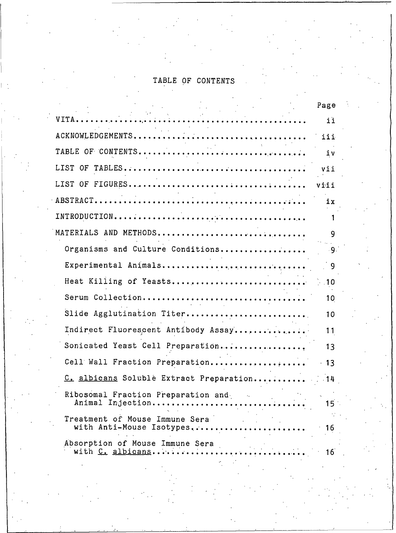### TABLE OF CONTENT

|                                                             | Page |  |
|-------------------------------------------------------------|------|--|
| $\beta = 5.0$<br>VITA                                       | 11   |  |
|                                                             | iii  |  |
|                                                             | iv   |  |
|                                                             | vii  |  |
|                                                             |      |  |
|                                                             | iх   |  |
|                                                             |      |  |
| MATERIALS AND METHODS                                       | 9    |  |
| Organisms and Culture Conditions                            | - 9. |  |
| Experimental Animals                                        | - 9  |  |
| Heat Killing of Yeasts 10                                   |      |  |
| Serum Collection                                            | 10   |  |
| Slide Agglutination Titer                                   | 10   |  |
| Indirect Fluorescent Antibody Assay                         | 11   |  |
| Sonicated Yeast Cell Preparation                            | 13   |  |
| Cell Wall Fraction Preparation 13                           |      |  |
| C. albicans Soluble Extract Preparation 14                  |      |  |
| Ribosomal Fraction Preparation and<br>Animal Injection<br>. | ל 1  |  |
| Treatment of Mouse Immune Sera<br>with Anti-Mouse Isotypes  | 16   |  |
| Absorption of Mouse Immune Sera<br>with C. albicans         | 16   |  |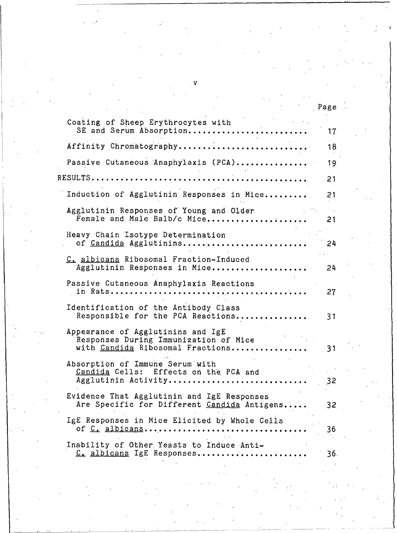| V                                                                                                              |      |
|----------------------------------------------------------------------------------------------------------------|------|
|                                                                                                                |      |
|                                                                                                                | Page |
| Coating of Sheep Erythrocytes with<br>SE and Serum Absorption                                                  | 17   |
| Affinity Chromatography                                                                                        | 18   |
| Passive Cutaneous Anaphylaxis (PCA)                                                                            | 19   |
| RESULTS                                                                                                        | 21   |
| Induction of Agglutinin Responses in Mice                                                                      | 21   |
| Agglutinin Responses of Young and Older<br>Female and Male Balb/c Mice                                         | 21   |
| Heavy Chain Isotype Determination<br>of Candida Agglutinins                                                    | 24   |
| C. albicans Ribosomal Fraction-Induced<br>Agglutinin Responses in Mice                                         | 24   |
| Passive Cutaneous Anaphylaxis Reactions                                                                        | 27   |
| Identification of the Antibody Class<br>Responsible for the PCA Reactions                                      | 31   |
| Appearance of Agglutinins and IgE<br>Responses During Immunization of Mice<br>with Candida Ribosomal Fractions | - 31 |
| Absorption of Immune Serum with<br>Candida Cells: Effects on the PCA and<br>Agglutinin Activity                | 32   |
| Evidence That Agglutinin and IgE Responses<br>Are Specific for Different Candida Antigens                      | 32   |
| IgE Responses in Mice Elicited by Whole Cells<br>of C. albicans                                                | 36   |
| Inability of Other Yeasts to Induce Anti-<br>C. albicans IgE Responses                                         | 36.  |

 $\frac{1}{2}$ 

 $\frac{1}{2}$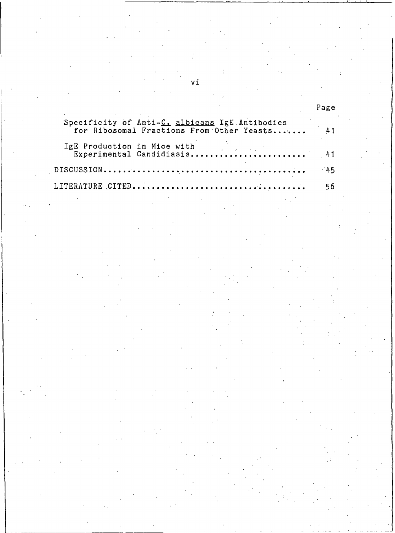# Page

| Specificity of Anti-C. albicans IgE Antibodies<br>for Ribosomal Fractions From Other Yeasts 41 |    |
|------------------------------------------------------------------------------------------------|----|
|                                                                                                |    |
|                                                                                                |    |
|                                                                                                | 56 |

vi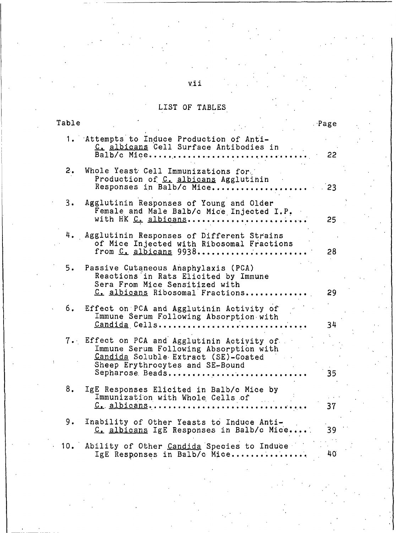# LIST OF TABLES

| Table     |                                                                                                                                                                                    | Page  |
|-----------|------------------------------------------------------------------------------------------------------------------------------------------------------------------------------------|-------|
|           | 1. Attempts to Induce Production of Anti-<br>C. albicans Cell Surface Antibodies in<br>Balb/c Mice                                                                                 | 22    |
| 2.        | Whole Yeast Cell Immunizations for<br>Production of C. albicans Agglutinin<br>Responses in Balb/c Mice                                                                             | $-23$ |
| $3 \cdot$ | Agglutinin Responses of Young and Older<br>Female and Male Balb/c Mice Injected I.P.<br>with HK C. albicans                                                                        | 25    |
|           | 4. Agglutinin Responses of Different Strains<br>of Mice Injected with Ribosomal Fractions<br>from $C_1$ albicans $9938$                                                            | 28    |
| 5.        | Passive Cutaneous Anaphylaxis (PCA)<br>Reactions in Rats Elicited by Immune<br>Sera From Mice Sensitized with<br>C. albicans Ribosomal Fractions                                   | 29    |
| б.        | Effect on PCA and Agglutinin Activity of<br>Immune Serum Following Absorption with<br>Candida Cells                                                                                | 34    |
|           | 7. Effect on PCA and Agglutinin Activity of<br>Immune Serum Following Absorption with<br>Candida Soluble Extract (SE)-Coated<br>Sheep Erythrocytes and SE-Bound<br>Sepharose Beads | 35    |
| 8.        | IgE Responses Elicited in Balb/c Mice by<br>Immunization with Whole Cells of<br>$C_{\bullet}$ albicans                                                                             | 37    |
| 9.        | Inability of Other Yeasts to Induce Anti-<br>C. albicans IgE Responses in Balb/c Mice                                                                                              | 39    |
| 10.       | Ability of Other Candida Species to Induce<br>IgE Responses in Balb/c Mice                                                                                                         | 40    |

# vii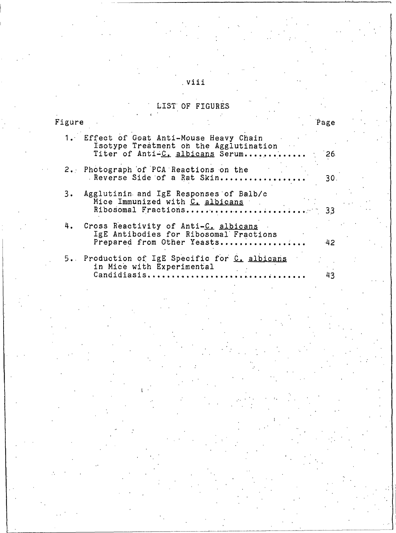# LIST OF FIGURES

 $\mathcal{I}$ 

| Figure |                                                                                                                       | Page |
|--------|-----------------------------------------------------------------------------------------------------------------------|------|
|        | 1. Effect of Goat Anti-Mouse Heavy Chain<br>Isotype Treatment on the Agglutination<br>Titer of Anti-C. albicans Serum | -26. |
|        | 2. Photograph of PCA Reactions on the<br>Reverse Side of a Rat Skin                                                   | 30.  |
| 3.     | Agglutinin and IgE Responses of Balb/c<br>Mice Immunized with C. albicans<br>Ribosomal Fractions 33                   |      |
|        | 4. Cross Reactivity of Anti-C. albicans<br>IgE Antibodies for Ribosomal Fractions<br>Prepared from Other Yeasts       | -42  |
|        | 5. Production of IgE Specific for C. albicans<br>in Mice with Experimental<br>Candidiasis                             | 43   |

# viii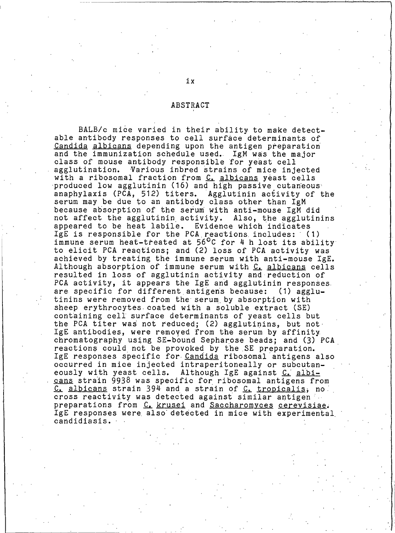#### ABSTRACT

BALB/c mice varied in their ability to make detectable antibody responses to cell surface determinants of Candida albicans depending upon the antigen preparation and the immunization schedule used. IgM was the major class of mouse antibody responsible for yeast cell Various inbred strains of mice injected agglutination. with a ribosomal fraction from C. albicans yeast cells produced low agglutinin (16) and high passive cutaneous anaphylaxis (PCA, 512) titers. Agglutinin activity of the serum may be due to an antibody class other than IgM because absorption of the serum with anti-mouse IgM did not affect the agglutinin activity. Also, the agglutinins appeared to be heat labile. Evidence which indicates IgE is responsible for the PCA reactions includes: (1) immune serum heat-treated at 56°C for 4 h lost its ability to elicit PCA reactions; and (2) loss of PCA activity was achieved by treating the immune serum with anti-mouse IgE. Although absorption of immune serum with C. albicans cells resulted in loss of agglutinin activity and reduction of PCA activity, it appears the IgE and agglutinin responses. are specific for different antigens because: (1) agglutinins were removed from the serum by absorption with sheep erythrocytes coated with a soluble extract (SE) containing cell surface determinants of yeast cells but the PCA titer was not reduced; (2) agglutinins, but not IgE antibodies, were removed from the serum by affinity chromatography using SE-bound Sepharose beads; and (3) PCA reactions could not be provoked by the SE preparation. IgE responses specific for Candida ribosomal antigens also occurred in mice injected intraperitoneally or subcutaneously with yeast cells. Although IgE against C. albicans strain 9938 was specific for ribosomal antigens from C. albicans strain 394 and a strain of C. tropicalis, no cross reactivity was detected against similar antigen preparations from C. krusei and Saccharomyces cerevisiae. IgE responses were also detected in mice with experimental candidiasis.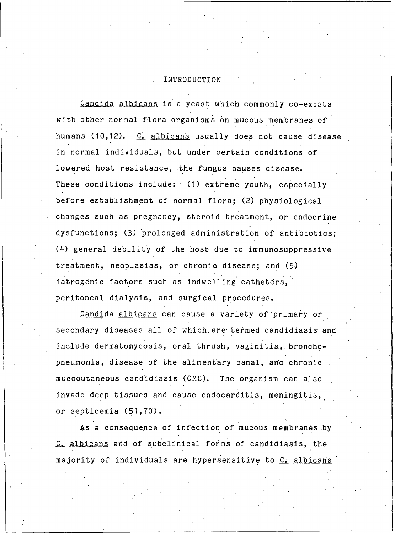#### INTRODUCTION

Candida albicans is a yeast which commonly co-exists with other normal flora organisms on mucous membranes of humans (10,12). C. albicans usually does not cause disease in normal individuals, but under certain conditions of lowered host resistance, the fungus causes disease. These conditions include: (1) extreme youth, especially before establishment of normal flora; (2) physiological changes such as pregnancy, steroid treatment, or endocrine dysfunctions; (3) prolonged administration of antibiotics; (4) general debility of the host due to immunosuppressive treatment, neoplasias, or chronic disease; and (5) iatrogenic factors such as indwelling catheters, peritoneal dialysis, and surgical procedures.

Candida albicans can cause a variety of primary or secondary diseases all of which are termed candidiasis and include dermatomycosis, oral thrush, vaginitis, bronchopneumonia, disease of the alimentary canal, and chronic mucocutaneous candidiasis (CMC). The organism can also invade deep tissues and cause endocarditis, meningitis, or septicemia (51,70).

As a consequence of infection of mucous membranes by C. albicans and of subclinical forms of candidiasis, the majority of individuals are hypersensitive to C. albicans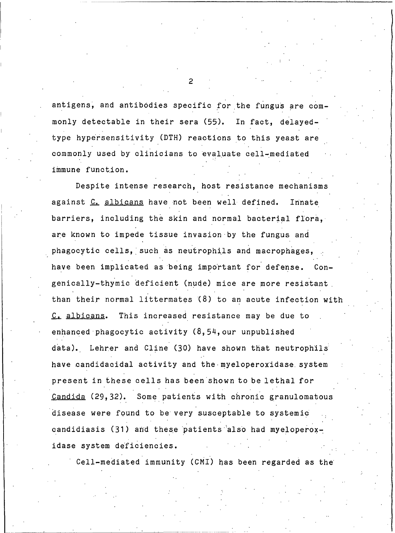antigens, and antibodies specific for the fungus are commonly detectable in their sera (55). In fact, delayedtype hypersensitivity (DTH) reactions to this yeast are commonly used by clinicians to evaluate cell-mediated immune function.

Despite intense research, host resistance mechanisms against C. albicans have not been well defined. Innate barriers, including the skin and normal bacterial flora, are known to impede tissue invasion by the fungus and phagocytic cells, such as neutrophils and macrophages, have been implicated as being important for defense. Congenically-thymic deficient (nude) mice are more resistant than their normal littermates (8) to an acute infection with This increased resistance may be due to C. albicans. enhanced phagocytic activity (8,54, our unpublished data). Lehrer and Cline (30) have shown that neutrophils have candidacidal activity and the myeloperoxidase system present in these cells has been shown to be lethal for Some patients with chronic granulomatous <u>Candida</u> (29,32). disease were found to be very susceptable to systemic candidiasis (31) and these patients also had myeloperoxidase system deficiencies.

Cell-mediated immunity (CMI) has been regarded as the

 $\overline{2}$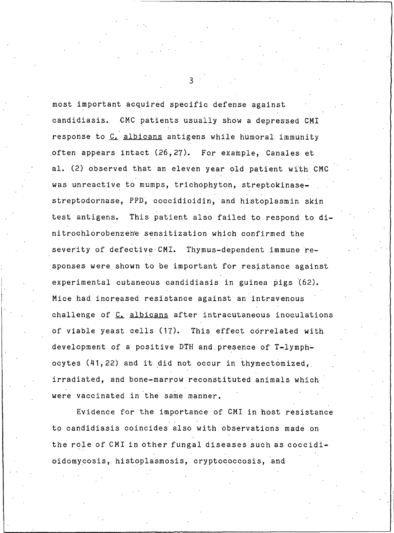most important acquired specific defense against candidiasis. CMC patients usually show a depressed CMI response to C. albicans antigens while humoral immunity often appears intact (26,27). For example, Canales et al. (2) observed that an eleven year old patient with CMC was unreactive to mumps, trichophyton, streptokinasestreptodornase, PPD, coccidioidin, and histoplasmin skin test antigens. This patient also failed to respond to dinitrochlorobenzene sensitization which confirmed the severity of defective CMI. Thymus-dependent immune responses were shown to be important for resistance against experimental cutaneous candidiasis in guinea pigs (62). Mice had increased resistance against an intravenous challenge of C. albicans after intracutaneous inoculations of viable yeast cells (17). This effect correlated with development of a positive DTH and presence of T-lymphocytes (41,22) and it did not occur in thymectomized, irradiated, and bone-marrow reconstituted animals which were vaccinated in the same manner.

Evidence for the importance of CMI in host resistance to candidiasis coincides also with observations made on the role of CMI in other fungal diseases such as coccidioidomycosis, histoplasmosis, cryptococcosis, and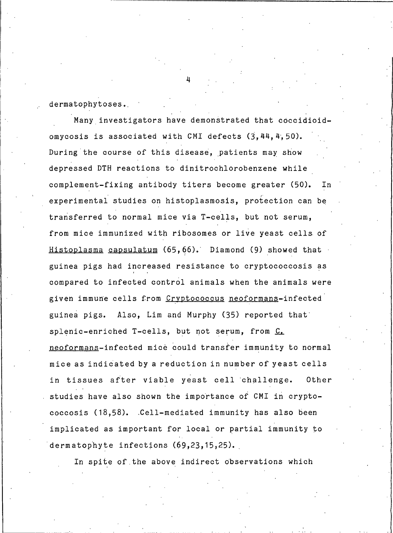dermatophytoses.

Many investigators have demonstrated that coccidioidomycosis is associated with CMI defects (3,44,4,50). During the course of this disease, patients may show depressed DTH reactions to dinitrochlorobenzene while complement-fixing antibody titers become greater (50). In experimental studies on histoplasmosis, protection can be transferred to normal mice via T-cells, but not serum, from mice immunized with ribosomes or live yeast cells of Histoplasma capsulatum (65,66). Diamond (9) showed that guinea pigs had increased resistance to cryptococcosis as compared to infected control animals when the animals were given immune cells from Cryptococcus neoformans-infected guinea pigs. Also, Lim and Murphy (35) reported that splenic-enriched T-cells, but not serum, from C. neoformans-infected mice could transfer immunity to normal mice as indicated by a reduction in number of yeast cells in tissues after viable yeast cell challenge. Other studies have also shown the importance of CMI in cryptococcosis (18,58). Cell-mediated immunity has also been implicated as important for local or partial immunity to dermatophyte infections (69,23,15,25).

In spite of the above indirect observations which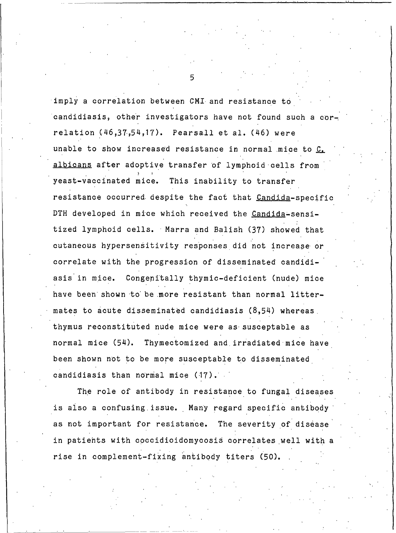imply a correlation between CMI and resistance to candidiasis, other investigators have not found such a correlation  $(46,37,54,17)$ . Pearsall et al.  $(46)$  were unable to show increased resistance in normal mice to C. albicans after adoptive transfer of lymphoid cells from yeast-vaccinated mice. This inability to transfer resistance occurred despite the fact that Candida-specific DTH developed in mice which received the Candida-sensitized lymphoid cells. Marra and Balish (37) showed that cutaneous hypersensitivity responses did not increase or correlate with the progression of disseminated candidiasis in mice. Congenitally thymic-deficient (nude) mice have been shown to be more resistant than normal littermates to acute disseminated candidiasis (8,54) whereas thymus reconstituted nude mice were as susceptable as normal mice (54). Thymectomized and irradiated mice have been shown not to be more susceptable to disseminated candidiasis than normal mice (17).

The role of antibody in resistance to fungal diseases is also a confusing issue. Many regard specific antibody as not important for resistance. The severity of disease in patients with coccidioidomycosis correlates well with a rise in complement-fixing antibody titers (50).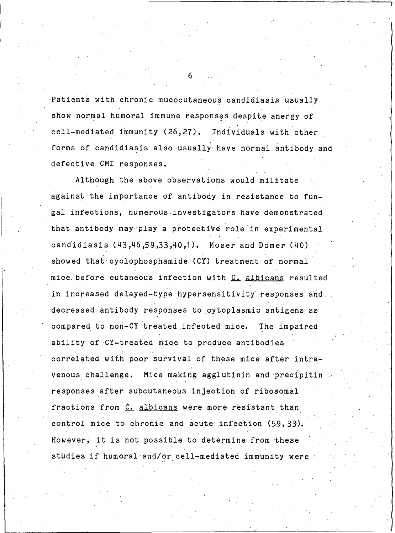Patients with chronic mucocutaneous candidiasis usually show normal humoral immune responses despite anergy of cell-mediated immunity (26,27). Individuals with other forms of candidiasis also usually have normal antibody and defective CMI responses.

Although the above observations would militate against the importance of antibody in resistance to fungal infections, numerous investigators have demonstrated that antibody may play a protective role in experimental candidiasis (43,46,59,33,40,1). Moser and Domer (40) showed that cyclophosphamide (CY) treatment of normal mice before cutaneous infection with C. albicans resulted in increased delayed-type hypersensitivity responses and. decreased antibody responses to cytoplasmic antigens as compared to non-CY treated infected mice. The impaired ability of CY-treated mice to produce antibodies correlated with poor survival of these mice after intravenous challenge. Mice making agglutinin and precipitin responses after subcutaneous injection of ribosomal fractions from C. albicans were more resistant than control mice to chronic and acute infection (59,33). However, it is not possible to determine from these studies if humoral and/or cell-mediated immunity were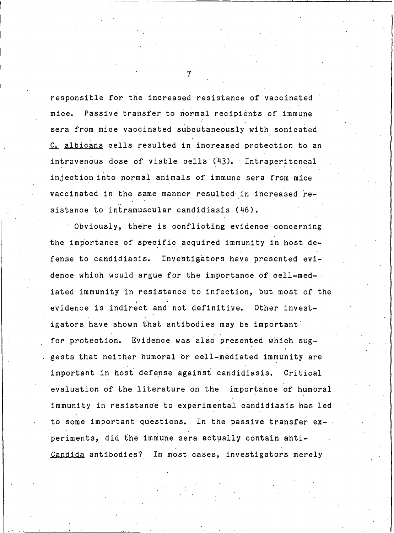responsible for the increased resistance of vaccinated mice. Passive transfer to normal recipients of immune sera from mice vaccinated subcutaneously with sonicated C. albicans cells resulted in increased protection to an intravenous dose of viable cells (43). Intraperitoneal injection into normal animals of immune sera from mice vaccinated in the same manner resulted in increased resistance to intramuscular candidiasis (46).

Obviously, there is conflicting evidence concerning the importance of specific acquired immunity in host defense to candidiasis. Investigators have presented evidence which would argue for the importance of cell-mediated immunity in resistance to infection, but most of the evidence is indirect and not definitive. Other investigators have shown that antibodies may be important for protection. Evidence was also presented which suggests that neither humoral or cell-mediated immunity are important in host defense against candidiasis. Critical evaluation of the literature on the importance of humoral immunity in resistance to experimental candidiasis has led to some important questions. In the passive transfer experiments, did the immune sera actually contain anti-Candida antibodies? In most cases, investigators merely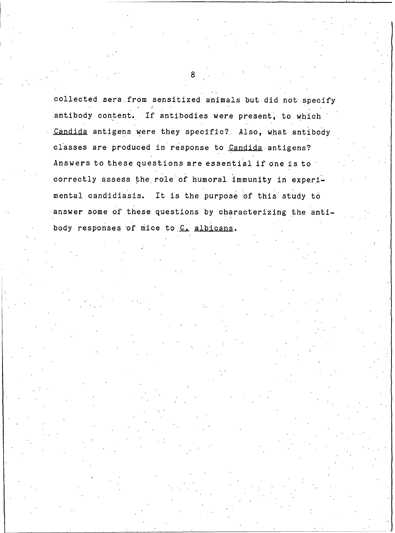collected sera from sensitized animals but did not specify antibody content. If antibodies were present, to which Candida antigens were they specific? Also, what antibody classes are produced in response to Candida antigens? Answers to these questions are essential if one is to correctly assess the role of humoral immunity in experimental candidiasis. It is the purpose of this study to answer some of these questions by characterizing the antibody responses of mice to C. albicans.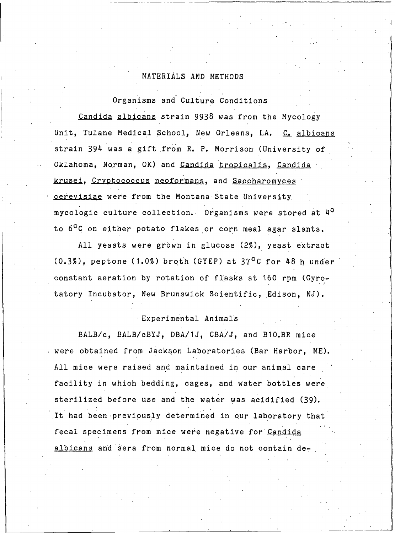# MATERIALS AND METHODS

Organisms and Culture Conditions

Candida albicans strain 9938 was from the Mycology Unit, Tulane Medical School, New Orleans, LA. C. albicans strain 394 was a gift from R. P. Morrison (University of Oklahoma, Norman, OK) and Candida tropicalis, Candida krusei, Cryptococcus neoformans, and Saccharomyces cerevisiae were from the Montana State University mycologic culture collection. Organisms were stored at 4<sup>0</sup> to 6<sup>o</sup>C on either potato flakes or corn meal agar slants.

All yeasts were grown in glucose (2%), yeast extract  $(0.3\%)$ , peptone (1.0%) broth (GYEP) at 37<sup>o</sup>C for 48 h under constant aeration by rotation of flasks at 160 rpm (Gyrotatory Incubator, New Brunswick Scientific, Edison, NJ).

# Experimental Animals

BALB/c, BALB/cBYJ, DBA/1J, CBA/J, and B10.BR mice were obtained from Jackson Laboratories (Bar Harbor, ME). All mice were raised and maintained in our animal care facility in which bedding, cages, and water bottles were sterilized before use and the water was acidified (39). It had been previously determined in our laboratory that fecal specimens from mice were negative for Candida albicans and sera from normal mice do not contain de-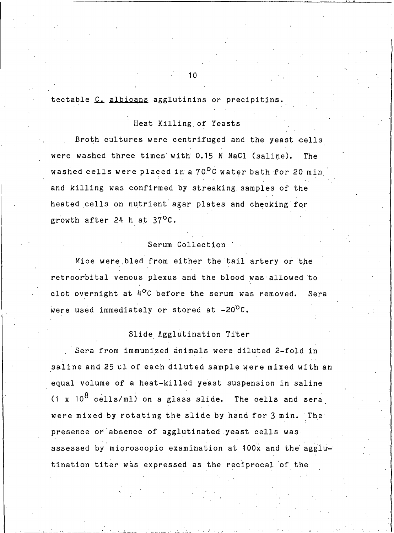# tectable C. albicans agglutinins or precipitins.

# Heat Killing of Yeasts

Broth cultures were centrifuged and the yeast cells were washed three times with 0.15 N NaCl (saline). The washed cells were placed in a 70<sup>0</sup>C water bath for 20 min and killing was confirmed by streaking samples of the heated cells on nutrient agar plates and checking for growth after 24 h at 37<sup>o</sup>C.

# Serum Collection

Mice were bled from either the tail artery or the retroorbital venous plexus and the blood was allowed to clot overnight at  $4^{\circ}$ C before the serum was removed. Sera were used immediately or stored at -20<sup>o</sup>C.

# Slide Agglutination Titer

Sera from immunized animals were diluted 2-fold in saline and 25 ul of each diluted sample were mixed with an equal volume of a heat-killed yeast suspension in saline  $(1 \times 10^8 \text{ cells/m1})$  on a glass slide. The cells and sera were mixed by rotating the slide by hand for 3 min. The presence or absence of agglutinated yeast cells was assessed by microscopic examination at 100x and the agglutination titer was expressed as the reciprocal of the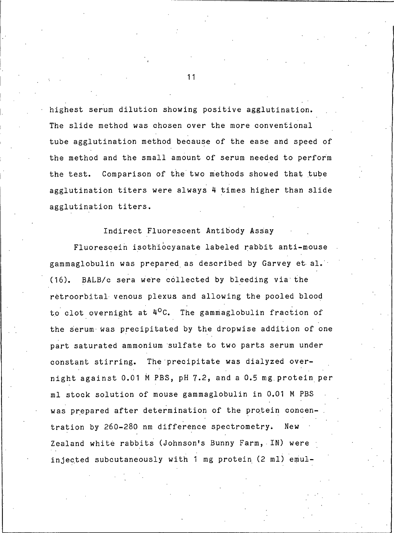highest serum dilution showing positive agglutination. The slide method was chosen over the more conventional tube agglutination method because of the ease and speed of the method and the small amount of serum needed to perform the test. Comparison of the two methods showed that tube agglutination titers were always 4 times higher than slide agglutination titers.

#### Indirect Fluorescent Antibody Assay

Fluorescein isothiocyanate labeled rabbit anti-mouse gammaglobulin was prepared as described by Garvey et al. BALB/c sera were collected by bleeding via the  $(16)$ . retroorbital venous plexus and allowing the pooled blood to clot overnight at 4<sup>o</sup>C. The gammaglobulin fraction of the serum was precipitated by the dropwise addition of one part saturated ammonium sulfate to two parts serum under constant stirring. The precipitate was dialyzed overnight against 0.01 M PBS, pH 7.2, and a 0.5 mg protein per ml stock solution of mouse gammaglobulin in 0.01 M PBS was prepared after determination of the protein concentration by 260-280 nm difference spectrometry. New Zealand white rabbits (Johnson's Bunny Farm, IN) were injected subcutaneously with 1 mg protein (2 ml) emul-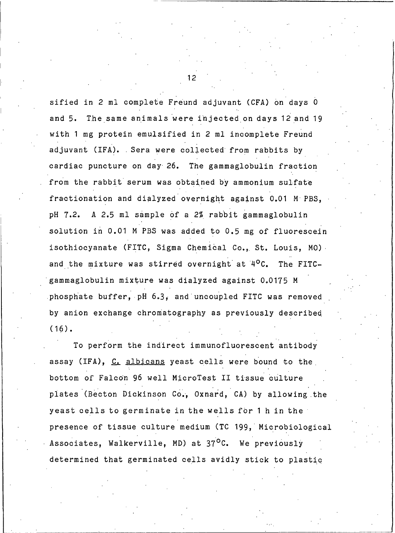sified in 2 ml complete Freund adjuvant (CFA) on days 0 The same animals were injected on days 12 and 19 and  $5.$ with 1 mg protein emulsified in 2 ml incomplete Freund adjuvant (IFA). Sera were collected from rabbits by cardiac puncture on day 26. The gammaglobulin fraction from the rabbit serum was obtained by ammonium sulfate fractionation and dialyzed overnight against 0.01 M PBS, A 2.5 ml sample of a 2% rabbit gammaglobulin pH 7.2. solution in 0.01 M PBS was added to 0.5 mg of fluorescein isothiocyanate (FITC, Sigma Chemical Co., St. Louis, MO). and the mixture was stirred overnight at 4<sup>o</sup>C. The FITCgammaglobulin mixture was dialyzed against 0.0175 M phosphate buffer, pH 6.3, and uncoupled FITC was removed by anion exchange chromatography as previously described  $(16)$ .

To perform the indirect immunofluorescent antibody assay (IFA), C, albicans yeast cells were bound to the bottom of Falcon 96 well MicroTest II tissue culture plates (Becton Dickinson Co., Oxnard, CA) by allowing the yeast cells to germinate in the wells for 1 h in the presence of tissue culture medium (TC 199, Microbiological Associates, Walkerville, MD) at 37<sup>o</sup>C. We previously determined that germinated cells avidly stick to plastic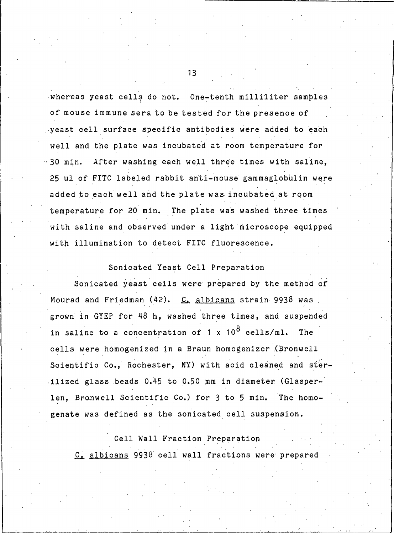whereas yeast cells do not. One-tenth milliliter samples of mouse immune sera to be tested for the presence of yeast cell surface specific antibodies were added to each well and the plate was incubated at room temperature for  $-30$  min. After washing each well three times with saline, 25 ul of FITC labeled rabbit anti-mouse gammaglobulin were added to each well and the plate was incubated at room temperature for 20 min. The plate was washed three times with saline and observed under a light microscope equipped with illumination to detect FITC fluorescence.

# Sonicated Yeast Cell Preparation

Sonicated yeast cells were prepared by the method of Mourad and Friedman (42). C. albicans strain 9938 was grown in GYEP for 48 h, washed three times, and suspended in saline to a concentration of 1 x  $10^8$  cells/ml. The cells were homogenized in a Braun homogenizer (Bronwell Scientific Co., Rochester, NY) with acid cleaned and sterilized glass beads 0.45 to 0.50 mm in diameter (Glasperlen, Bronwell Scientific Co.) for 3 to 5 min. The homogenate was defined as the sonicated cell suspension.

Cell Wall Fraction Preparation C. albicans 9938 cell wall fractions were prepared

 $13<sup>1</sup>$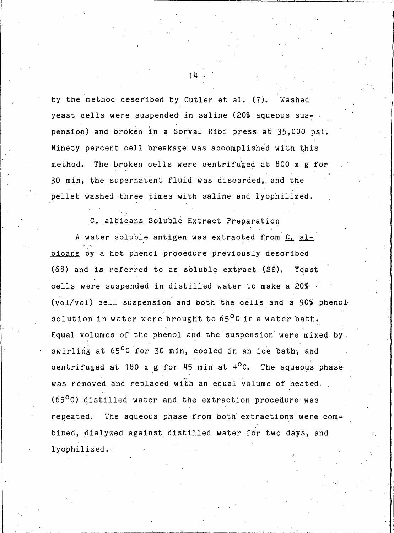by the method described by Cutler et al. (7). Washed yeast cells were suspended in saline (20% aqueous suspension) and broken in a Sorval Ribi press at 35,000 psi. Ninety percent cell breakage was accomplished with this method. The broken cells were centrifuged at 800 x g for 30 min, the supernatent fluid was discarded, and the pellet washed three times with saline and lyophilized.

 $14$ 

C. albicans Soluble Extract Preparation

A water soluble antigen was extracted from C. albicans by a hot phenol procedure previously described (68) and is referred to as soluble extract (SE). Yeast cells were suspended in distilled water to make a 20% (vol/vol) cell suspension and both the cells and a 90% phenol solution in water were brought to 65<sup>o</sup>C in a water bath. Equal volumes of the phenol and the suspension were mixed by swirling at 65°C for 30 min, cooled in an ice bath, and centrifuged at 180 x g for 45 min at 4<sup>o</sup>C. The aqueous phase was removed and replaced with an equal volume of heated (65<sup>o</sup>C) distilled water and the extraction procedure was repeated. The aqueous phase from both extractions were combined, dialyzed against distilled water for two days, and lyophilized.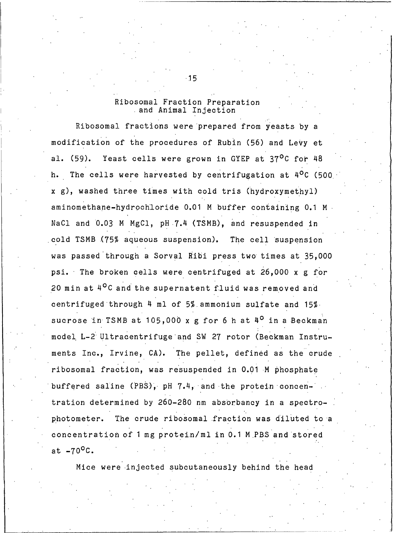### Ribosomal Fraction Preparation and Animal Injection

Ribosomal fractions were prepared from yeasts by a modification of the procedures of Rubin (56) and Levy et al. (59). Yeast cells were grown in GYEP at 37<sup>o</sup>C for 48 h. The cells were harvested by centrifugation at 4<sup>o</sup>C (500 x g), washed three times with cold tris (hydroxymethyl) aminomethane-hydrochloride 0.01 M buffer containing 0.1 M NaCl and 0.03 M MgCl, pH 7.4 (TSMB), and resuspended in cold TSMB (75% aqueous suspension). The cell suspension was passed through a Sorval Ribi press two times at 35,000 psi. The broken cells were centrifuged at 26,000 x g for 20 min at 4<sup>o</sup>C and the supernatent fluid was removed and centrifuged through 4 ml of 5% ammonium sulfate and 15% sucrose in TSMB at 105,000 x g for 6 h at 4<sup>0</sup> in a Beckman model L-2 Ultracentrifuge and SW 27 rotor (Beckman Instruments Inc., Irvine, CA). The pellet, defined as the crude ribosomal fraction, was resuspended in 0.01 M phosphate buffered saline (PBS), pH 7.4, and the protein concentration determined by 260-280 nm absorbancy in a spectro-The crude ribosomal fraction was diluted to a photometer. concentration of 1 mg protein/ml in 0.1 M PBS and stored at  $-70^{\circ}$ C.

Mice were injected subcutaneously behind the head

 $-15$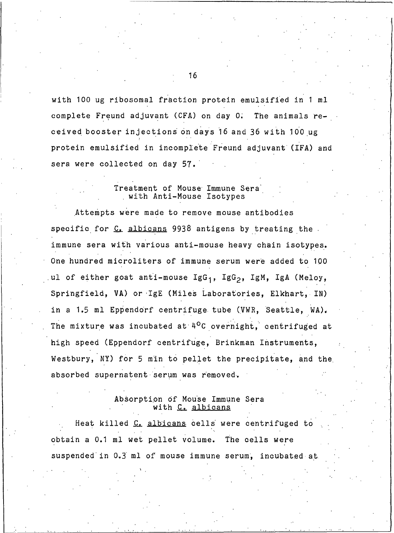with 100 ug ribosomal fraction protein emulsified in 1 ml complete Freund adjuvant (CFA) on day 0. The animals received booster injections on days 16 and 36 with 100 ug protein emulsified in incomplete Freund adjuvant (IFA) and sera were collected on day 57.

#### Treatment of Mouse Immune Sera with Anti-Mouse Isotypes

Attempts were made to remove mouse antibodies specific for C. albicans 9938 antigens by treating the immune sera with various anti-mouse heavy chain isotypes. One hundred microliters of immune serum were added to 100 ul of either goat anti-mouse IgG<sub>1</sub>, IgG<sub>2</sub>, IgM, IgA (Meloy, Springfield, VA) or IgE (Miles Laboratories, Elkhart, IN) in a 1.5 ml Eppendorf centrifuge tube (VWR, Seattle, WA). The mixture was incubated at 4<sup>o</sup>C overnight, centrifuged at high speed (Eppendorf centrifuge, Brinkman Instruments, Westbury, NY) for 5 min to pellet the precipitate, and the absorbed supernatent serum was removed.

### Absorption of Mouse Immune Sera with C. albicans

Heat killed C. albicans cells were centrifuged to obtain a 0.1 ml wet pellet volume. The cells were suspended in 0.3 ml of mouse immune serum, incubated at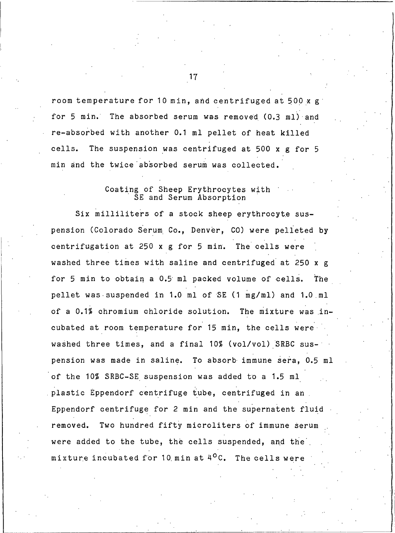room temperature for 10 min, and centrifuged at 500 x g for 5 min. The absorbed serum was removed (0.3 ml) and re-absorbed with another 0.1 ml pellet of heat killed cells. The suspension was centrifuged at 500 x g for 5 min and the twice absorbed serum was collected.

#### Coating of Sheep Erythrocytes with SE and Serum Absorption

Six milliliters of a stock sheep erythrocyte suspension (Colorado Serum Co., Denver, CO) were pelleted by centrifugation at 250 x g for 5 min. The cells were washed three times with saline and centrifuged at 250 x g for 5 min to obtain a 0.5 ml packed volume of cells. The pellet was suspended in 1.0 ml of SE (1 mg/ml) and 1.0 ml of a 0.1% chromium chloride solution. The mixture was incubated at room temperature for 15 min, the cells were washed three times, and a final 10% (vol/vol) SRBC suspension was made in saline. To absorb immune sera, 0.5 ml of the 10% SRBC-SE suspension was added to a 1.5 ml plastic Eppendorf centrifuge tube, centrifuged in an Eppendorf centrifuge for 2 min and the supernatent fluid Two hundred fifty microliters of immune serum removed. were added to the tube, the cells suspended, and the mixture incubated for 10 min at 4<sup>0</sup>C. The cells were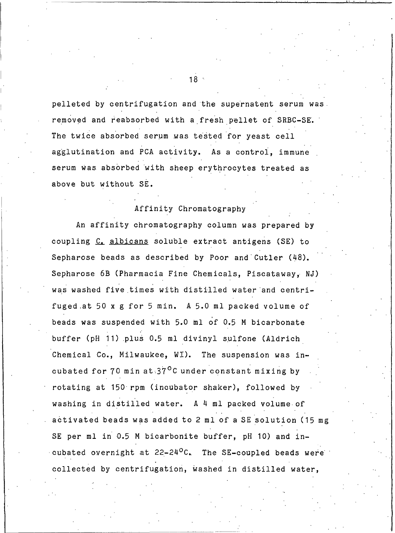pelleted by centrifugation and the supernatent serum was. removed and reabsorbed with a fresh pellet of SRBC-SE. The twice absorbed serum was tested for yeast cell agglutination and PCA activity. As a control, immune serum was absorbed with sheep erythrocytes treated as above but without SE.

# Affinity Chromatography

An affinity chromatography column was prepared by coupling C. albicans soluble extract antigens (SE) to Sepharose beads as described by Poor and Cutler (48). Sepharose 6B (Pharmacia Fine Chemicals, Piscataway, NJ) was washed five times with distilled water and centrifuged at 50 x g for 5 min. A 5.0 ml packed volume of beads was suspended with 5.0 ml of 0.5 M bicarbonate buffer (pH 11) plus 0.5 ml divinyl sulfone (Aldrich Chemical Co., Milwaukee, WI). The suspension was incubated for 70 min at 37<sup>o</sup>C under constant mixing by rotating at 150 rpm (incubator shaker), followed by washing in distilled water. A 4 ml packed volume of activated beads was added to 2 ml of a SE solution (15 mg SE per ml in 0.5 M bicarbonite buffer, pH 10) and incubated overnight at 22-24<sup>0</sup>C. The SE-coupled beads were collected by centrifugation, washed in distilled water,

 $18 -$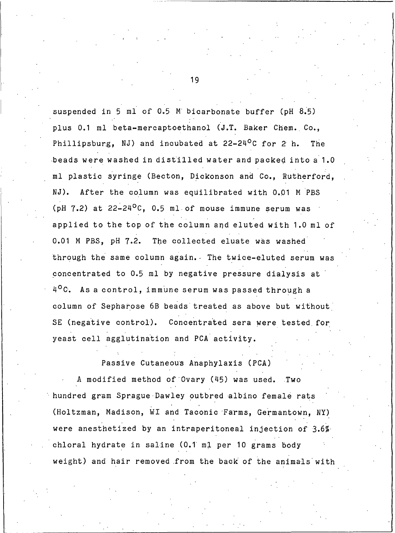suspended in 5 ml of 0.5 M bicarbonate buffer (pH 8.5) plus 0.1 ml beta-mercaptoethanol (J.T. Baker Chem. Co., Phillipsburg, NJ) and incubated at  $22-24^{\circ}$ C for 2 h. **The** beads were washed in distilled water and packed into a 1.0 ml plastic syringe (Becton, Dickonson and Co., Rutherford, NJ). After the column was equilibrated with 0.01 M PBS  $(pH 7.2)$  at  $22-24^{\circ}$ C, 0.5 ml of mouse immune serum was applied to the top of the column and eluted with 1.0 ml of 0.01 M PBS, pH 7.2. The collected eluate was washed through the same column again. The twice-eluted serum was concentrated to 0.5 ml by negative pressure dialysis at 4<sup>o</sup>C. As a control, immune serum was passed through a column of Sepharose 6B beads treated as above but without SE (negative control). Concentrated sera were tested for yeast cell agglutination and PCA activity.

Passive Cutaneous Anaphylaxis (PCA)

A modified method of Ovary (45) was used. Two hundred gram Sprague Dawley outbred albino female rats (Holtzman, Madison, WI and Taconic Farms, Germantown, NY) were anesthetized by an intraperitoneal injection of 3.6% chloral hydrate in saline (0.1 ml per 10 grams body weight) and hair removed from the back of the animals with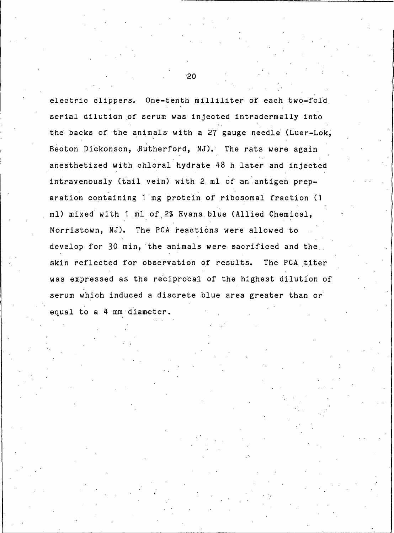electric clippers. One-tenth milliliter of each two-fold serial dilution of serum was injected intradermally into the backs of the animals with a 27 gauge needle (Luer-Lok, Becton Dickonson, Rutherford, NJ). The rats were again anesthetized with chloral hydrate 48 h later and injected intravenously (tail vein) with 2 ml of an antigen preparation containing 1 mg protein of ribosomal fraction (1 ml) mixed with 1 ml of 2% Evans blue (Allied Chemical, Morristown, NJ). The PCA reactions were allowed to develop for 30 min, the animals were sacrificed and the skin reflected for observation of results. The PCA titer was expressed as the reciprocal of the highest dilution of serum which induced a discrete blue area greater than or equal to a 4 mm diameter.

 $20^{\circ}$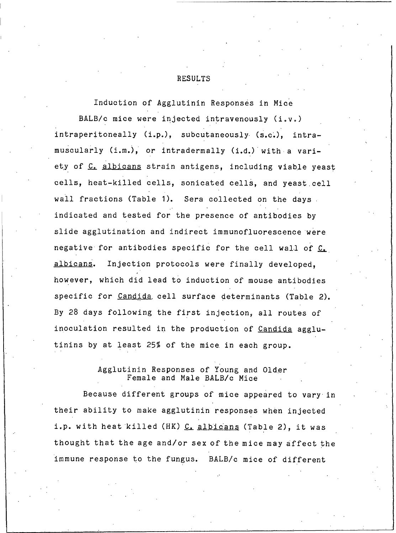**RESULTS** 

Induction of Agglutinin Responses in Mice BALB/c mice were injected intravenously (i.v.) intraperitoneally (i.p.), subcutaneously (s.c.), intramuscularly (i.m.), or intradermally (i.d.) with a variety of C. albicans strain antigens, including viable yeast cells, heat-killed cells, sonicated cells, and yeast cell wall fractions (Table 1). Sera collected on the days. indicated and tested for the presence of antibodies by slide agglutination and indirect immunofluorescence were negative for antibodies specific for the cell wall of C. albicans. Injection protocols were finally developed, however, which did lead to induction of mouse antibodies specific for Candida cell surface determinants (Table 2). By 28 days following the first injection, all routes of inoculation resulted in the production of Candida agglutinins by at least 25% of the mice in each group.

> Agglutinin Responses of Young and Older Female and Male BALB/c Mice

Because different groups of mice appeared to vary in their ability to make agglutinin responses when injected i.p. with heat killed (HK) C. albicans (Table 2), it was thought that the age and/or sex of the mice may affect the immune response to the fungus. BALB/c mice of different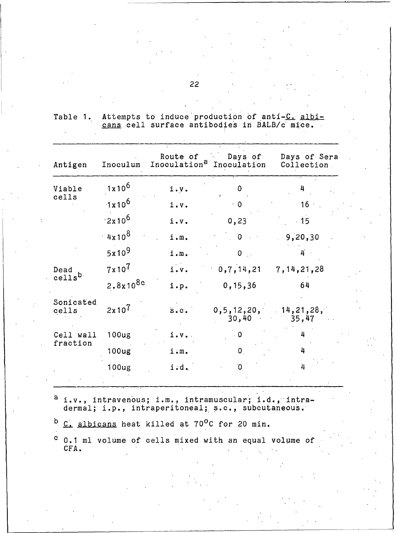Table 1. Attempts to induce production of anti-C. albi-<br>cans cell surface antibodies in BALB/c mice.

| Antigen               | Inoculum          | Route of          | <b>Days of</b><br>Inoculation <sup>a</sup> Inoculation | Days of Sera<br>Collection |
|-----------------------|-------------------|-------------------|--------------------------------------------------------|----------------------------|
| Viable                | $1x10^6$          | $i \cdot v \cdot$ | <sup>0</sup>                                           | 4                          |
| cells                 | $1x10^6$          | i.v.              | - 0                                                    | 16 <sup>1</sup>            |
|                       | $2x10^6$          | i.v.              | 0, 23                                                  | .15                        |
|                       | $4x10^8$          | i.m.              | $\mathbf{0}$ . The $\mathbf{0}$                        | 9,20,30                    |
|                       | $5x10^9$          | i.m.              | $0$ .                                                  | 4                          |
| Dead                  | $7\times10^{7}$   | $i \cdot v$ .     | 0,7,14,21                                              | 7, 14, 21, 28              |
| cells <sup>b.</sup>   | $2.8x10^{8c}$     | i.p.              | 0, 15, 36                                              | 64                         |
| Sonicated<br>cells    | $2x10^{7}$        | $S \cdot C$ .     | 0, 5, 12, 20, 14, 21, 28,<br>30,40                     | 35,47                      |
| Cell wall<br>fraction | 100 <sub>ug</sub> | $i \cdot v \cdot$ | $\overline{\phantom{0}}$                               | 4                          |
|                       | 100 <sub>ug</sub> | i : m.            | $\mathbf{0}_{\perp}$                                   | 4                          |
|                       | 100 <sub>ug</sub> | i.d.              | $\overline{O}$                                         | 4                          |

 $a$  i.v., intravenous; i.m., intramuscular; i.d., intra-<br>dermal; i.p., intraperitoneal; s.c., subcutaneous.

b C. albicans heat killed at 70°C for 20 min.

c 0.1 ml volume of cells mixed with an equal volume of CFA.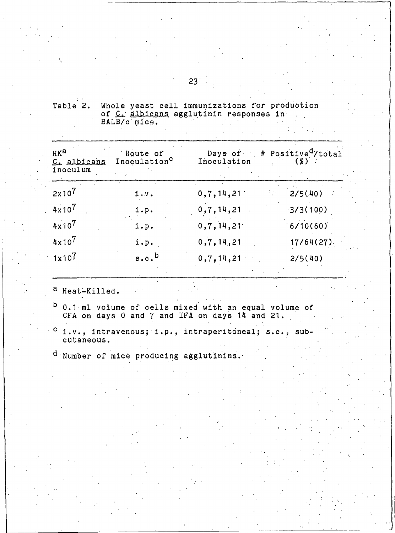| Table 2. |  |              | Whole yeast cell immunizations for production |  |  |  |
|----------|--|--------------|-----------------------------------------------|--|--|--|
|          |  |              | of C. albicans agglutinin responses in        |  |  |  |
|          |  | BALB/c mice. |                                               |  |  |  |

| HKa<br>C. albicans<br>inoculum | Route of<br>Inoculation <sup>C</sup> | Inoculation  | Days of # Positive <sup>d</sup> /total<br>$(\%)$ |
|--------------------------------|--------------------------------------|--------------|--------------------------------------------------|
| $2x10^{7}$                     | i.v.                                 | 0,7,14,21    | 2/5(40)                                          |
| $4x10^{7}$                     | i.p.                                 | 0,7,14,21    | 3/3(100)                                         |
| $4x10^7$                       | i.p.                                 | 0,7,14,21    | 6/10(60)                                         |
| $4x10^{7}$                     | i.p.                                 | 0, 7, 14, 21 | 17/64(27)                                        |
| $1x10^{7}$                     | s.c.                                 | 0,7,14,21    | 2/5(40)                                          |

a Heat-Killed.

 $b$  0.1 ml volume of cells mixed with an equal volume of CFA on days 0 and 7 and IFA on days 14 and 21.

 $c_i, v_i$ , intravenous; i.p., intraperitoneal; s.c., sub-<br>cutaneous.

d Number of mice producing agglutinins.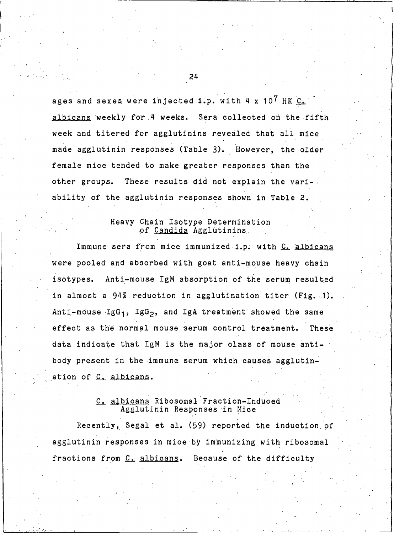ages and sexes were injected i.p. with 4 x  $10^7$  HK  $C$ albicans weekly for 4 weeks. Sera collected on the fifth week and titered for agglutinins revealed that all mice made agglutinin responses (Table 3). However, the older female mice tended to make greater responses than the These results did not explain the variother groups. ability of the agglutinin responses shown in Table 2.

#### Heavy Chain Isotype Determination of Candida Agglutinins.

Immune sera from mice immunized i.p. with C. albicans were pooled and absorbed with goat anti-mouse heavy chain isotypes. Anti-mouse IgM absorption of the serum resulted in almost a 94% reduction in agglutination titer (Fig. 1). Anti-mouse IgG<sub>1</sub>, IgG<sub>2</sub>, and IgA treatment showed the same effect as the normal mouse serum control treatment. These data indicate that IgM is the major class of mouse antibody present in the immune serum which causes agglutination of C. albicans.

# C. albicans Ribosomal Fraction-Induced Agglutinin Responses in Mice

Recently, Segal et al. (59) reported the induction of agglutinin responses in mice by immunizing with ribosomal fractions from C. albicans. Because of the difficulty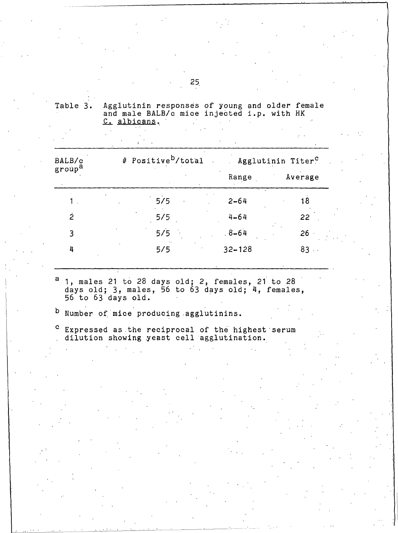|  | Table 3. Agglutinin responses of young and older female<br>and male BALB/c mice injected i.p. with HK |  |  |  |  |
|--|-------------------------------------------------------------------------------------------------------|--|--|--|--|
|  | C. albicans.                                                                                          |  |  |  |  |
|  |                                                                                                       |  |  |  |  |

| BALB/c             | # Positive <sup>b</sup> /total |            | Agglutinin Titer <sup>C</sup> |
|--------------------|--------------------------------|------------|-------------------------------|
| group <sup>a</sup> |                                | Range      | Average                       |
|                    | 5/5                            | $2 - 64$   | 18                            |
| $\dot{2}$          | 5/5                            | $4 - 64$   | 22                            |
| 3                  | 5/5                            | $8 - 64$   | .26                           |
| 4                  | 5/5                            | $32 - 128$ | $83 -$                        |

<sup>a</sup> 1, males 21 to 28 days old; 2, females, 21 to 28 days old; 3, males, 56 to 63 days old; 4, females, 56 to 63 days old.

- b Number of mice producing agglutinins.
- $\mathbf{c}$ Expressed as the reciprocal of the highest serum<br>dilution showing yeast cell agglutination.

 $25<sub>1</sub>$